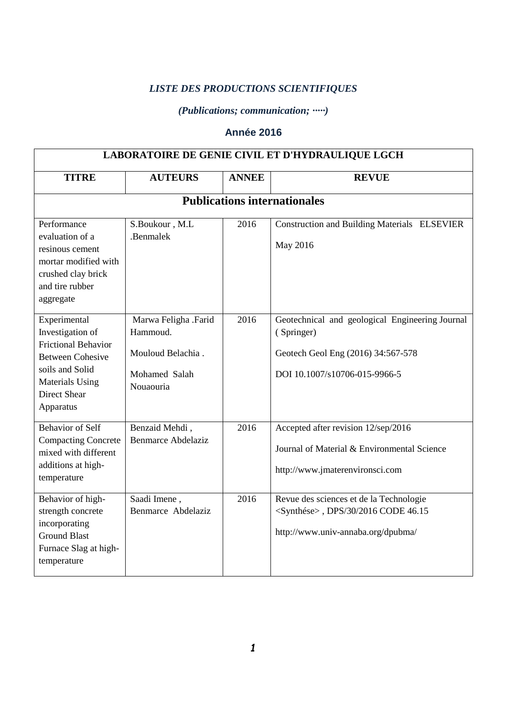## *LISTE DES PRODUCTIONS SCIENTIFIQUES*

## *(Publications; communication; ∙∙∙∙∙)*

## **Année 2016**

| LABORATOIRE DE GENIE CIVIL ET D'HYDRAULIQUE LGCH                                                                                                                           |                                                                                     |              |                                                                                                                                      |  |  |
|----------------------------------------------------------------------------------------------------------------------------------------------------------------------------|-------------------------------------------------------------------------------------|--------------|--------------------------------------------------------------------------------------------------------------------------------------|--|--|
| <b>TITRE</b>                                                                                                                                                               | <b>AUTEURS</b>                                                                      | <b>ANNEE</b> | <b>REVUE</b>                                                                                                                         |  |  |
| <b>Publications internationales</b>                                                                                                                                        |                                                                                     |              |                                                                                                                                      |  |  |
| Performance<br>evaluation of a<br>resinous cement<br>mortar modified with<br>crushed clay brick<br>and tire rubber<br>aggregate                                            | S.Boukour, M.L<br>.Benmalek                                                         | 2016         | Construction and Building Materials ELSEVIER<br>May 2016                                                                             |  |  |
| Experimental<br>Investigation of<br><b>Frictional Behavior</b><br><b>Between Cohesive</b><br>soils and Solid<br><b>Materials Using</b><br><b>Direct Shear</b><br>Apparatus | Marwa Feligha .Farid<br>Hammoud.<br>Mouloud Belachia.<br>Mohamed Salah<br>Nouaouria | 2016         | Geotechnical and geological Engineering Journal<br>(Springer)<br>Geotech Geol Eng (2016) 34:567-578<br>DOI 10.1007/s10706-015-9966-5 |  |  |
| Behavior of Self<br><b>Compacting Concrete</b><br>mixed with different<br>additions at high-<br>temperature                                                                | Benzaid Mehdi,<br><b>Benmarce Abdelaziz</b>                                         | 2016         | Accepted after revision 12/sep/2016<br>Journal of Material & Environmental Science<br>http://www.jmaterenvironsci.com                |  |  |
| Behavior of high-<br>strength concrete<br>incorporating<br><b>Ground Blast</b><br>Furnace Slag at high-<br>temperature                                                     | Saadi Imene,<br>Benmarce Abdelaziz                                                  | 2016         | Revue des sciences et de la Technologie<br><synthése>, DPS/30/2016 CODE 46.15<br/>http://www.univ-annaba.org/dpubma/</synthése>      |  |  |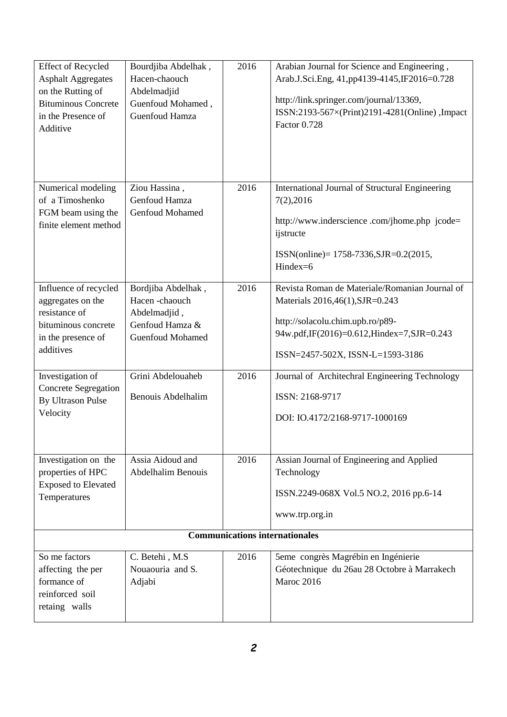| <b>Effect of Recycled</b><br><b>Asphalt Aggregates</b><br>on the Rutting of<br><b>Bituminous Concrete</b><br>in the Presence of<br>Additive | Bourdjiba Abdelhak,<br>Hacen-chaouch<br>Abdelmadjid<br>Guenfoud Mohamed,<br><b>Guenfoud Hamza</b> | 2016 | Arabian Journal for Science and Engineering,<br>Arab.J.Sci.Eng, 41,pp4139-4145,IF2016=0.728<br>http://link.springer.com/journal/13369,<br>ISSN:2193-567×(Print)2191-4281(Online), Impact<br>Factor 0.728 |  |
|---------------------------------------------------------------------------------------------------------------------------------------------|---------------------------------------------------------------------------------------------------|------|----------------------------------------------------------------------------------------------------------------------------------------------------------------------------------------------------------|--|
| Numerical modeling<br>of a Timoshenko<br>FGM beam using the<br>finite element method                                                        | Ziou Hassina,<br>Genfoud Hamza<br><b>Genfoud Mohamed</b>                                          | 2016 | International Journal of Structural Engineering<br>7(2),2016<br>http://www.inderscience.com/jhome.php jcode=<br>ijstructe<br>$ISSN(online) = 1758-7336$ , $SJR=0.2(2015)$ ,<br>Hindex=6                  |  |
| Influence of recycled<br>aggregates on the<br>resistance of<br>bituminous concrete<br>in the presence of<br>additives                       | Bordjiba Abdelhak,<br>Hacen-chaouch<br>Abdelmadjid,<br>Genfoud Hamza &<br><b>Guenfoud Mohamed</b> | 2016 | Revista Roman de Materiale/Romanian Journal of<br>Materials 2016,46(1), SJR=0.243<br>http://solacolu.chim.upb.ro/p89-<br>94w.pdf,IF(2016)=0.612,Hindex=7,SJR=0.243<br>ISSN=2457-502X, ISSN-L=1593-3186   |  |
| Investigation of<br><b>Concrete Segregation</b><br><b>By Ultrason Pulse</b><br>Velocity                                                     | Grini Abdelouaheb<br><b>Benouis Abdelhalim</b>                                                    | 2016 | Journal of Architechral Engineering Technology<br>ISSN: 2168-9717<br>DOI: IO.4172/2168-9717-1000169                                                                                                      |  |
| Investigation on the<br>properties of HPC<br><b>Exposed to Elevated</b><br>Temperatures                                                     | Assia Aidoud and<br><b>Abdelhalim Benouis</b>                                                     | 2016 | Assian Journal of Engineering and Applied<br>Technology<br>ISSN.2249-068X Vol.5 NO.2, 2016 pp.6-14<br>www.trp.org.in                                                                                     |  |
| <b>Communications internationales</b>                                                                                                       |                                                                                                   |      |                                                                                                                                                                                                          |  |
| So me factors<br>affecting the per<br>formance of<br>reinforced soil<br>retaing walls                                                       | C. Betehi, M.S.<br>Nouaouria and S.<br>Adjabi                                                     | 2016 | 5eme congrès Magrébin en Ingénierie<br>Géotechnique du 26au 28 Octobre à Marrakech<br>Maroc 2016                                                                                                         |  |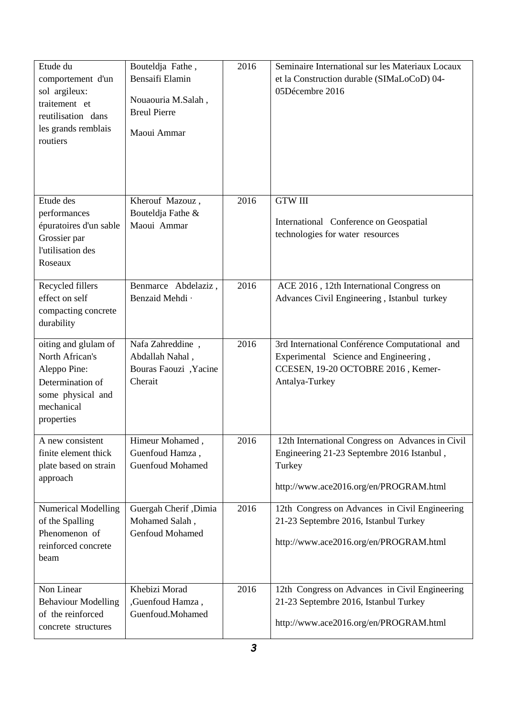| Etude du<br>comportement d'un<br>sol argileux:<br>traitement et<br>reutilisation dans<br>les grands remblais<br>routiers     | Bouteldja Fathe,<br>Bensaifi Elamin<br>Nouaouria M.Salah,<br><b>Breul Pierre</b><br>Maoui Ammar | 2016 | Seminaire International sur les Materiaux Locaux<br>et la Construction durable (SIMaLoCoD) 04-<br>05Décembre 2016                                  |
|------------------------------------------------------------------------------------------------------------------------------|-------------------------------------------------------------------------------------------------|------|----------------------------------------------------------------------------------------------------------------------------------------------------|
| Etude des<br>performances<br>épuratoires d'un sable<br>Grossier par<br>l'utilisation des<br>Roseaux                          | Kherouf Mazouz,<br>Bouteldja Fathe &<br>Maoui Ammar                                             | 2016 | <b>GTW III</b><br>International Conference on Geospatial<br>technologies for water resources                                                       |
| Recycled fillers<br>effect on self<br>compacting concrete<br>durability                                                      | Benmarce Abdelaziz,<br>Benzaid Mehdi ·                                                          | 2016 | ACE 2016, 12th International Congress on<br>Advances Civil Engineering, Istanbul turkey                                                            |
| oiting and glulam of<br>North African's<br>Aleppo Pine:<br>Determination of<br>some physical and<br>mechanical<br>properties | Nafa Zahreddine,<br>Abdallah Nahal,<br>Bouras Faouzi, Yacine<br>Cherait                         | 2016 | 3rd International Conférence Computational and<br>Experimental Science and Engineering,<br>CCESEN, 19-20 OCTOBRE 2016, Kemer-<br>Antalya-Turkey    |
| A new consistent<br>finite element thick<br>plate based on strain<br>approach                                                | Himeur Mohamed,<br>Guenfoud Hamza,<br><b>Guenfoud Mohamed</b>                                   | 2016 | 12th International Congress on Advances in Civil<br>Engineering 21-23 Septembre 2016 Istanbul,<br>Turkey<br>http://www.ace2016.org/en/PROGRAM.html |
| <b>Numerical Modelling</b><br>of the Spalling<br>Phenomenon of<br>reinforced concrete<br>beam                                | Guergah Cherif, Dimia<br>Mohamed Salah,<br>Genfoud Mohamed                                      | 2016 | 12th Congress on Advances in Civil Engineering<br>21-23 Septembre 2016, Istanbul Turkey<br>http://www.ace2016.org/en/PROGRAM.html                  |
| Non Linear<br><b>Behaviour Modelling</b><br>of the reinforced<br>concrete structures                                         | Khebizi Morad<br>, Guenfoud Hamza,<br>Guenfoud.Mohamed                                          | 2016 | 12th Congress on Advances in Civil Engineering<br>21-23 Septembre 2016, Istanbul Turkey<br>http://www.ace2016.org/en/PROGRAM.html                  |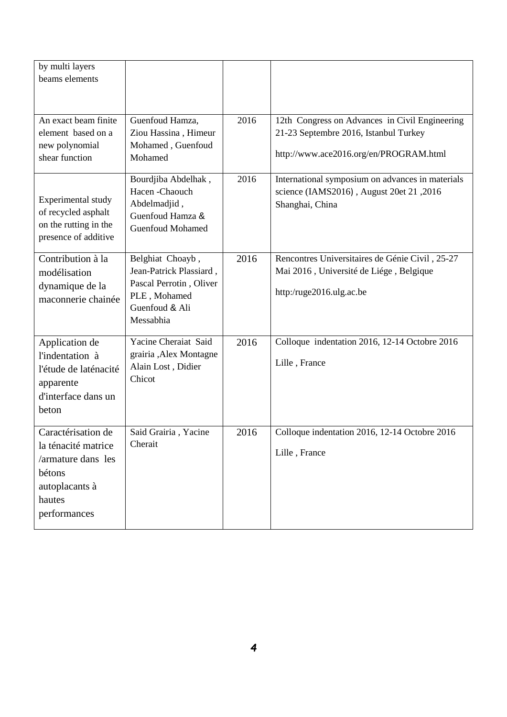| by multi layers<br>beams elements                                                                                     |                                                                                                                       |      |                                                                                                                                   |
|-----------------------------------------------------------------------------------------------------------------------|-----------------------------------------------------------------------------------------------------------------------|------|-----------------------------------------------------------------------------------------------------------------------------------|
| An exact beam finite<br>element based on a<br>new polynomial<br>shear function                                        | Guenfoud Hamza,<br>Ziou Hassina, Himeur<br>Mohamed, Guenfoud<br>Mohamed                                               | 2016 | 12th Congress on Advances in Civil Engineering<br>21-23 Septembre 2016, Istanbul Turkey<br>http://www.ace2016.org/en/PROGRAM.html |
| Experimental study<br>of recycled asphalt<br>on the rutting in the<br>presence of additive                            | Bourdjiba Abdelhak,<br>Hacen-Chaouch<br>Abdelmadjid,<br>Guenfoud Hamza &<br><b>Guenfoud Mohamed</b>                   | 2016 | International symposium on advances in materials<br>science (IAMS2016), August 20et 21, 2016<br>Shanghai, China                   |
| Contribution à la<br>modélisation<br>dynamique de la<br>maconnerie chainée                                            | Belghiat Choayb,<br>Jean-Patrick Plassiard,<br>Pascal Perrotin, Oliver<br>PLE, Mohamed<br>Guenfoud & Ali<br>Messabhia | 2016 | Rencontres Universitaires de Génie Civil, 25-27<br>Mai 2016, Université de Liége, Belgique<br>http:/ruge2016.ulg.ac.be            |
| Application de<br>l'indentation à<br>l'étude de laténacité<br>apparente<br>d'interface dans un<br>beton               | Yacine Cheraiat Said<br>grairia ,Alex Montagne<br>Alain Lost, Didier<br>Chicot                                        | 2016 | Colloque indentation 2016, 12-14 Octobre 2016<br>Lille, France                                                                    |
| Caractérisation de<br>la ténacité matrice<br>/armature dans les<br>bétons<br>autoplacants à<br>hautes<br>performances | Said Grairia, Yacine<br>Cherait                                                                                       | 2016 | Colloque indentation 2016, 12-14 Octobre 2016<br>Lille, France                                                                    |